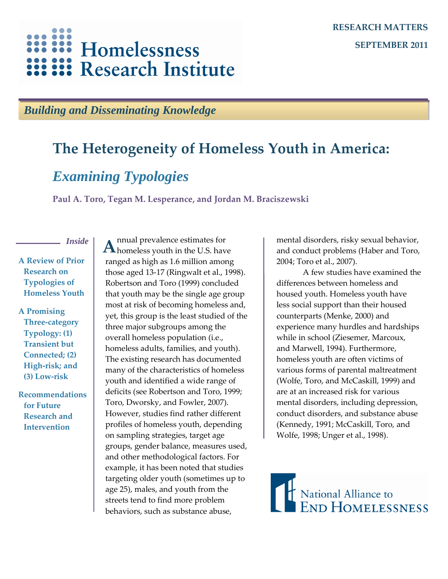# Homelessness **Research Institute**

### *Building and Disseminating Knowledge*

# **The Heterogeneity of Homeless Youth in America:**

## *Examining Typologies*

**Paul A. Toro, Tegan M. Lesperance, and Jordan M. Braciszewski**

*Inside*

**A Review of Prior Research on Typologies of Homeless Youth**

**A Promising Three-category Typology: (1) Transient but Connected; (2) High-risk; and (3) Low-risk**

**Recommendations for Future Research and Intervention**

nnual prevalence estimates for A homeless youth in the U.S. have ranged as high as 1.6 million among those aged 13-17 (Ringwalt et al., 1998). Robertson and Toro (1999) concluded that youth may be the single age group most at risk of becoming homeless and, yet, this group is the least studied of the three major subgroups among the overall homeless population (i.e., homeless adults, families, and youth). The existing research has documented many of the characteristics of homeless youth and identified a wide range of deficits (see Robertson and Toro, 1999; Toro, Dworsky, and Fowler, 2007). However, studies find rather different profiles of homeless youth, depending on sampling strategies, target age groups, gender balance, measures used, and other methodological factors. For example, it has been noted that studies targeting older youth (sometimes up to age 25), males, and youth from the streets tend to find more problem behaviors, such as substance abuse,

mental disorders, risky sexual behavior, and conduct problems (Haber and Toro, 2004; Toro et al., 2007).

A few studies have examined the differences between homeless and housed youth. Homeless youth have less social support than their housed counterparts (Menke, 2000) and experience many hurdles and hardships while in school (Ziesemer, Marcoux, and Marwell, 1994). Furthermore, homeless youth are often victims of various forms of parental maltreatment (Wolfe, Toro, and McCaskill, 1999) and are at an increased risk for various mental disorders, including depression, conduct disorders, and substance abuse (Kennedy, 1991; McCaskill, Toro, and Wolfe, 1998; Unger et al., 1998).

Mational Alliance to<br>END HOMELESSNESS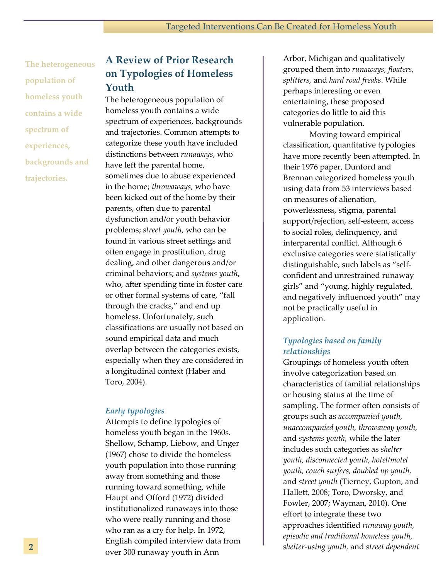**The heterogeneous population of homeless youth contains a wide spectrum of experiences, backgrounds and trajectories.**

### **A Review of Prior Research on Typologies of Homeless Youth**

The heterogeneous population of homeless youth contains a wide spectrum of experiences, backgrounds and trajectories. Common attempts to categorize these youth have included distinctions between *runaways*, who have left the parental home, sometimes due to abuse experienced in the home; *throwaways,* who have been kicked out of the home by their parents, often due to parental dysfunction and/or youth behavior problems; *street youth*, who can be found in various street settings and often engage in prostitution, drug dealing, and other dangerous and/or criminal behaviors; and *systems youth*, who, after spending time in foster care or other formal systems of care, "fall through the cracks," and end up homeless. Unfortunately, such classifications are usually not based on sound empirical data and much overlap between the categories exists, especially when they are considered in a longitudinal context (Haber and Toro, 2004).

#### *Early typologies*

Attempts to define typologies of homeless youth began in the 1960s. Shellow, Schamp, Liebow, and Unger (1967) chose to divide the homeless youth population into those running away from something and those running toward something, while Haupt and Offord (1972) divided institutionalized runaways into those who were really running and those who ran as a cry for help. In 1972, English compiled interview data from over 300 runaway youth in Ann

Arbor, Michigan and qualitatively grouped them into *runaways, floaters, splitters,* and *hard road freaks*. While perhaps interesting or even entertaining, these proposed categories do little to aid this vulnerable population.

Moving toward empirical classification, quantitative typologies have more recently been attempted. In their 1976 paper, Dunford and Brennan categorized homeless youth using data from 53 interviews based on measures of alienation, powerlessness, stigma, parental support/rejection, self-esteem, access to social roles, delinquency, and interparental conflict. Although 6 exclusive categories were statistically distinguishable, such labels as "selfconfident and unrestrained runaway girls" and "young, highly regulated, and negatively influenced youth" may not be practically useful in application.

#### *Typologies based on family relationships*

Groupings of homeless youth often involve categorization based on characteristics of familial relationships or housing status at the time of sampling. The former often consists of groups such as *accompanied youth, unaccompanied youth, throwaway youth,*  and *systems youth,* while the later includes such categories as *shelter youth, disconnected youth, hotel/motel youth, couch surfers, doubled up youth,*  and *street youth* (Tierney, Gupton, and Hallett, 2008; Toro, Dworsky, and Fowler, 2007; Wayman, 2010)*.* One effort to integrate these two approaches identified *runaway youth, episodic and traditional homeless youth, shelter-using youth,* and *street dependent*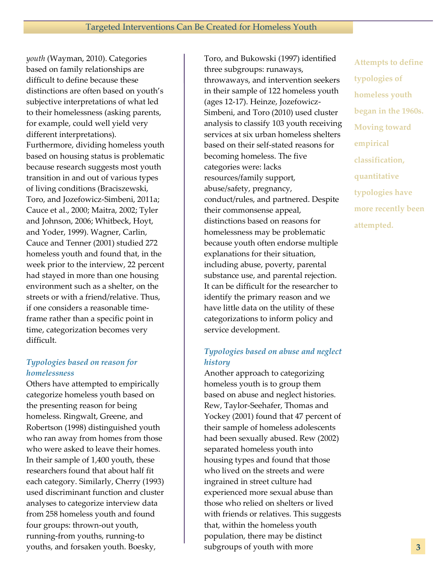*youth* (Wayman, 2010). Categories based on family relationships are difficult to define because these distinctions are often based on youth's subjective interpretations of what led to their homelessness (asking parents, for example, could well yield very different interpretations). Furthermore, dividing homeless youth based on housing status is problematic because research suggests most youth transition in and out of various types of living conditions (Braciszewski, Toro, and Jozefowicz-Simbeni, 2011a; Cauce et al., 2000; Maitra, 2002; Tyler and Johnson, 2006; Whitbeck, Hoyt, and Yoder, 1999). Wagner, Carlin, Cauce and Tenner (2001) studied 272 homeless youth and found that, in the week prior to the interview, 22 percent had stayed in more than one housing environment such as a shelter, on the streets or with a friend/relative. Thus, if one considers a reasonable timeframe rather than a specific point in time, categorization becomes very difficult.

#### *Typologies based on reason for homelessness*

Others have attempted to empirically categorize homeless youth based on the presenting reason for being homeless. Ringwalt, Greene, and Robertson (1998) distinguished youth who ran away from homes from those who were asked to leave their homes. In their sample of 1,400 youth, these researchers found that about half fit each category. Similarly, Cherry (1993) used discriminant function and cluster analyses to categorize interview data from 258 homeless youth and found four groups: thrown-out youth, running-from youths, running-to youths, and forsaken youth. Boesky,

Toro, and Bukowski (1997) identified three subgroups: runaways, throwaways, and intervention seekers in their sample of 122 homeless youth (ages 12-17). Heinze, Jozefowicz-Simbeni, and Toro (2010) used cluster analysis to classify 103 youth receiving services at six urban homeless shelters based on their self-stated reasons for becoming homeless. The five categories were: lacks resources/family support, abuse/safety, pregnancy, conduct/rules, and partnered. Despite their commonsense appeal, distinctions based on reasons for homelessness may be problematic because youth often endorse multiple explanations for their situation, including abuse, poverty, parental substance use, and parental rejection. It can be difficult for the researcher to identify the primary reason and we have little data on the utility of these categorizations to inform policy and service development.

#### *Typologies based on abuse and neglect history*

Another approach to categorizing homeless youth is to group them based on abuse and neglect histories. Rew, Taylor-Seehafer, Thomas and Yockey (2001) found that 47 percent of their sample of homeless adolescents had been sexually abused. Rew (2002) separated homeless youth into housing types and found that those who lived on the streets and were ingrained in street culture had experienced more sexual abuse than those who relied on shelters or lived with friends or relatives. This suggests that, within the homeless youth population, there may be distinct subgroups of youth with more

**Attempts to define typologies of homeless youth began in the 1960s. Moving toward empirical classification, quantitative typologies have more recently been attempted.**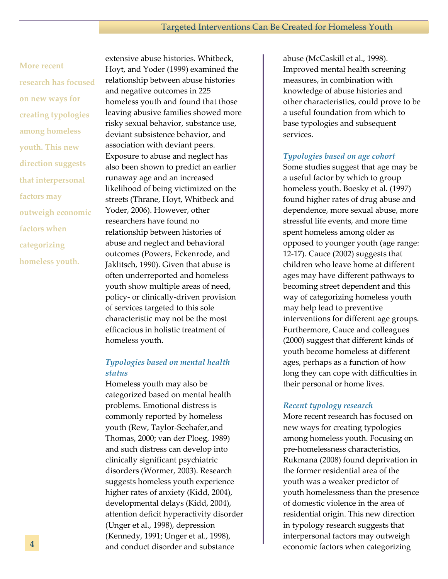## **More recent research has focused on new ways for creating typologies among homeless youth. This new direction suggests that interpersonal**

**factors may outweigh economic** 

**factors when** 

**categorizing** 

**homeless youth.**

extensive abuse histories. Whitbeck, Hoyt, and Yoder (1999) examined the relationship between abuse histories and negative outcomes in 225 homeless youth and found that those leaving abusive families showed more risky sexual behavior, substance use, deviant subsistence behavior, and association with deviant peers. Exposure to abuse and neglect has also been shown to predict an earlier runaway age and an increased likelihood of being victimized on the streets (Thrane, Hoyt, Whitbeck and Yoder, 2006). However, other researchers have found no relationship between histories of abuse and neglect and behavioral outcomes (Powers, Eckenrode, and Jaklitsch, 1990). Given that abuse is often underreported and homeless youth show multiple areas of need, policy- or clinically-driven provision of services targeted to this sole characteristic may not be the most efficacious in holistic treatment of homeless youth.

#### *Typologies based on mental health status*

Homeless youth may also be categorized based on mental health problems. Emotional distress is commonly reported by homeless youth (Rew, Taylor-Seehafer,and Thomas, 2000; van der Ploeg, 1989) and such distress can develop into clinically significant psychiatric disorders (Wormer, 2003). Research suggests homeless youth experience higher rates of anxiety (Kidd, 2004), developmental delays (Kidd, 2004), attention deficit hyperactivity disorder (Unger et al., 1998), depression (Kennedy, 1991; Unger et al., 1998), and conduct disorder and substance

abuse (McCaskill et al., 1998). Improved mental health screening measures, in combination with knowledge of abuse histories and other characteristics, could prove to be a useful foundation from which to base typologies and subsequent services.

#### *Typologies based on age cohort*

Some studies suggest that age may be a useful factor by which to group homeless youth. Boesky et al. (1997) found higher rates of drug abuse and dependence, more sexual abuse, more stressful life events, and more time spent homeless among older as opposed to younger youth (age range: 12-17). Cauce (2002) suggests that children who leave home at different ages may have different pathways to becoming street dependent and this way of categorizing homeless youth may help lead to preventive interventions for different age groups. Furthermore, Cauce and colleagues (2000) suggest that different kinds of youth become homeless at different ages, perhaps as a function of how long they can cope with difficulties in their personal or home lives.

#### *Recent typology research*

More recent research has focused on new ways for creating typologies among homeless youth. Focusing on pre-homelessness characteristics, Rukmana (2008) found deprivation in the former residential area of the youth was a weaker predictor of youth homelessness than the presence of domestic violence in the area of residential origin. This new direction in typology research suggests that interpersonal factors may outweigh economic factors when categorizing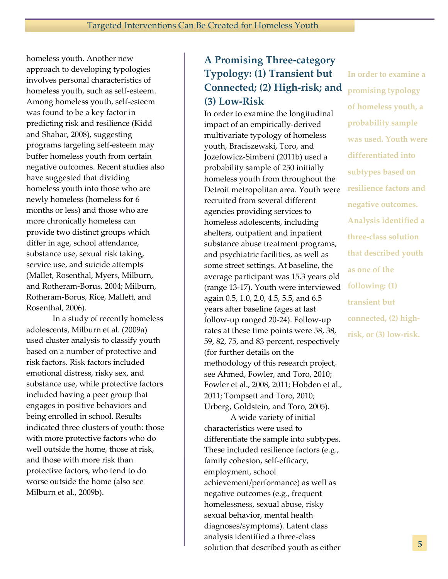homeless youth. Another new approach to developing typologies involves personal characteristics of homeless youth, such as self-esteem. Among homeless youth, self-esteem was found to be a key factor in predicting risk and resilience (Kidd and Shahar, 2008), suggesting programs targeting self-esteem may buffer homeless youth from certain negative outcomes. Recent studies also have suggested that dividing homeless youth into those who are newly homeless (homeless for 6 months or less) and those who are more chronically homeless can provide two distinct groups which differ in age, school attendance, substance use, sexual risk taking, service use, and suicide attempts (Mallet, Rosenthal, Myers, Milburn, and Rotheram-Borus, 2004; Milburn, Rotheram-Borus, Rice, Mallett, and Rosenthal, 2006).

In a study of recently homeless adolescents, Milburn et al. (2009a) used cluster analysis to classify youth based on a number of protective and risk factors. Risk factors included emotional distress, risky sex, and substance use, while protective factors included having a peer group that engages in positive behaviors and being enrolled in school. Results indicated three clusters of youth: those with more protective factors who do well outside the home, those at risk, and those with more risk than protective factors, who tend to do worse outside the home (also see Milburn et al., 2009b).

## **A Promising Three-category Typology: (1) Transient but Connected; (2) High-risk; and (3) Low-Risk**

In order to examine the longitudinal impact of an empirically-derived multivariate typology of homeless youth, Braciszewski, Toro, and Jozefowicz-Simbeni (2011b) used a probability sample of 250 initially homeless youth from throughout the Detroit metropolitan area. Youth were recruited from several different agencies providing services to homeless adolescents, including shelters, outpatient and inpatient substance abuse treatment programs, and psychiatric facilities, as well as some street settings. At baseline, the average participant was 15.3 years old (range 13-17). Youth were interviewed again 0.5, 1.0, 2.0, 4.5, 5.5, and 6.5 years after baseline (ages at last follow-up ranged 20-24). Follow-up rates at these time points were 58, 38, 59, 82, 75, and 83 percent, respectively (for further details on the methodology of this research project, see Ahmed, Fowler, and Toro, 2010; Fowler et al., 2008, 2011; Hobden et al., 2011; Tompsett and Toro, 2010; Urberg, Goldstein, and Toro, 2005).

A wide variety of initial characteristics were used to differentiate the sample into subtypes. These included resilience factors (e.g., family cohesion, self-efficacy, employment, school achievement/performance) as well as negative outcomes (e.g., frequent homelessness, sexual abuse, risky sexual behavior, mental health diagnoses/symptoms). Latent class analysis identified a three-class solution that described youth as either

**In order to examine a promising typology of homeless youth, a probability sample was used. Youth were differentiated into subtypes based on resilience factors and negative outcomes. Analysis identified a three-class solution that described youth as one of the following: (1) transient but connected, (2) highrisk, or (3) low-risk.**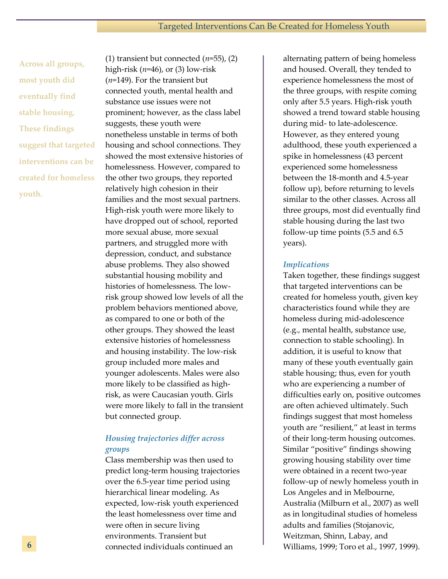**Across all groups, most youth did eventually find stable housing. These findings suggest that targeted interventions can be created for homeless youth.**

(1) transient but connected  $(n=55)$ ,  $(2)$ high-risk (*n*=46), or (3) low-risk (*n*=149). For the transient but connected youth, mental health and substance use issues were not prominent; however, as the class label suggests, these youth were nonetheless unstable in terms of both housing and school connections. They showed the most extensive histories of homelessness. However, compared to the other two groups, they reported relatively high cohesion in their families and the most sexual partners. High-risk youth were more likely to have dropped out of school, reported more sexual abuse, more sexual partners, and struggled more with depression, conduct, and substance abuse problems. They also showed substantial housing mobility and histories of homelessness. The lowrisk group showed low levels of all the problem behaviors mentioned above, as compared to one or both of the other groups. They showed the least extensive histories of homelessness and housing instability. The low-risk group included more males and younger adolescents. Males were also more likely to be classified as highrisk, as were Caucasian youth. Girls were more likely to fall in the transient but connected group.

#### *Housing trajectories differ across groups*

Class membership was then used to predict long-term housing trajectories over the 6.5-year time period using hierarchical linear modeling. As expected, low-risk youth experienced the least homelessness over time and were often in secure living environments. Transient but connected individuals continued an

alternating pattern of being homeless and housed. Overall, they tended to experience homelessness the most of the three groups, with respite coming only after 5.5 years. High-risk youth showed a trend toward stable housing during mid- to late-adolescence. However, as they entered young adulthood, these youth experienced a spike in homelessness (43 percent experienced some homelessness between the 18-month and 4.5-year follow up), before returning to levels similar to the other classes. Across all three groups, most did eventually find stable housing during the last two follow-up time points (5.5 and 6.5 years).

#### *Implications*

Taken together, these findings suggest that targeted interventions can be created for homeless youth, given key characteristics found while they are homeless during mid-adolescence (e.g., mental health, substance use, connection to stable schooling). In addition, it is useful to know that many of these youth eventually gain stable housing; thus, even for youth who are experiencing a number of difficulties early on, positive outcomes are often achieved ultimately. Such findings suggest that most homeless youth are "resilient," at least in terms of their long-term housing outcomes. Similar "positive" findings showing growing housing stability over time were obtained in a recent two-year follow-up of newly homeless youth in Los Angeles and in Melbourne, Australia (Milburn et al., 2007) as well as in longitudinal studies of homeless adults and families (Stojanovic, Weitzman, Shinn, Labay, and Williams, 1999; Toro et al., 1997, 1999).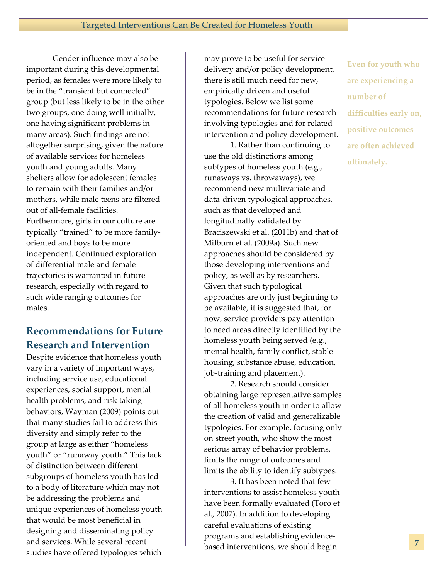Gender influence may also be important during this developmental period, as females were more likely to be in the "transient but connected" group (but less likely to be in the other two groups, one doing well initially, one having significant problems in many areas). Such findings are not altogether surprising, given the nature of available services for homeless youth and young adults. Many shelters allow for adolescent females to remain with their families and/or mothers, while male teens are filtered out of all-female facilities. Furthermore, girls in our culture are typically "trained" to be more familyoriented and boys to be more independent. Continued exploration of differential male and female trajectories is warranted in future research, especially with regard to such wide ranging outcomes for males.

## **Recommendations for Future Research and Intervention**

Despite evidence that homeless youth vary in a variety of important ways, including service use, educational experiences, social support, mental health problems, and risk taking behaviors, Wayman (2009) points out that many studies fail to address this diversity and simply refer to the group at large as either "homeless youth" or "runaway youth." This lack of distinction between different subgroups of homeless youth has led to a body of literature which may not be addressing the problems and unique experiences of homeless youth that would be most beneficial in designing and disseminating policy and services. While several recent studies have offered typologies which

may prove to be useful for service delivery and/or policy development, there is still much need for new, empirically driven and useful typologies. Below we list some recommendations for future research involving typologies and for related intervention and policy development.

1. Rather than continuing to use the old distinctions among subtypes of homeless youth (e.g., runaways vs. throwaways), we recommend new multivariate and data-driven typological approaches, such as that developed and longitudinally validated by Braciszewski et al. (2011b) and that of Milburn et al. (2009a). Such new approaches should be considered by those developing interventions and policy, as well as by researchers. Given that such typological approaches are only just beginning to be available, it is suggested that, for now, service providers pay attention to need areas directly identified by the homeless youth being served (e.g., mental health, family conflict, stable housing, substance abuse, education, job-training and placement).

2. Research should consider obtaining large representative samples of all homeless youth in order to allow the creation of valid and generalizable typologies. For example, focusing only on street youth, who show the most serious array of behavior problems, limits the range of outcomes and limits the ability to identify subtypes.

3. It has been noted that few interventions to assist homeless youth have been formally evaluated (Toro et al., 2007). In addition to developing careful evaluations of existing programs and establishing evidencebased interventions, we should begin

**Even for youth who are experiencing a number of difficulties early on, positive outcomes are often achieved ultimately.**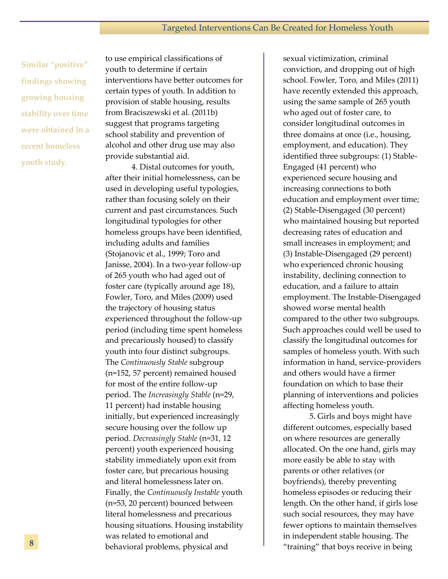**Similar "positive" findings showing growing housing stability over time were obtained in a recent homeless youth study.**

to use empirical classifications of youth to determine if certain interventions have better outcomes for certain types of youth. In addition to provision of stable housing, results from Braciszewski et al. (2011b) suggest that programs targeting school stability and prevention of alcohol and other drug use may also provide substantial aid.

4. Distal outcomes for youth, after their initial homelessness, can be used in developing useful typologies, rather than focusing solely on their current and past circumstances. Such longitudinal typologies for other homeless groups have been identified, including adults and families (Stojanovic et al., 1999; Toro and Janisse, 2004). In a two-year follow-up of 265 youth who had aged out of foster care (typically around age 18), Fowler, Toro, and Miles (2009) used the trajectory of housing status experienced throughout the follow-up period (including time spent homeless and precariously housed) to classify youth into four distinct subgroups. The *Continuously Stable* subgroup (n=152, 57 percent) remained housed for most of the entire follow-up period. The *Increasingly Stable* (n=29, 11 percent) had instable housing initially, but experienced increasingly secure housing over the follow up period. *Decreasingly Stable* (n=31, 12 percent) youth experienced housing stability immediately upon exit from foster care, but precarious housing and literal homelessness later on. Finally, the *Continuously Instable* youth (n=53, 20 percent) bounced between literal homelessness and precarious housing situations. Housing instability was related to emotional and behavioral problems, physical and

sexual victimization, criminal conviction, and dropping out of high school. Fowler, Toro, and Miles (2011) have recently extended this approach, using the same sample of 265 youth who aged out of foster care, to consider longitudinal outcomes in three domains at once (i.e., housing, employment, and education). They identified three subgroups: (1) Stable-Engaged (41 percent) who experienced secure housing and increasing connections to both education and employment over time; (2) Stable-Disengaged (30 percent) who maintained housing but reported decreasing rates of education and small increases in employment; and (3) Instable-Disengaged (29 percent) who experienced chronic housing instability, declining connection to education, and a failure to attain employment. The Instable-Disengaged showed worse mental health compared to the other two subgroups. Such approaches could well be used to classify the longitudinal outcomes for samples of homeless youth. With such information in hand, service-providers and others would have a firmer foundation on which to base their planning of interventions and policies affecting homeless youth.

5. Girls and boys might have different outcomes, especially based on where resources are generally allocated. On the one hand, girls may more easily be able to stay with parents or other relatives (or boyfriends), thereby preventing homeless episodes or reducing their length. On the other hand, if girls lose such social resources, they may have fewer options to maintain themselves in independent stable housing. The "training" that boys receive in being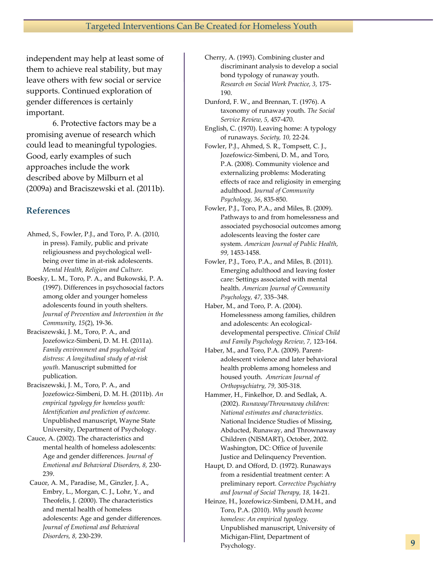independent may help at least some of them to achieve real stability, but may leave others with few social or service supports. Continued exploration of gender differences is certainly important.

6. Protective factors may be a promising avenue of research which could lead to meaningful typologies. Good, early examples of such approaches include the work described above by Milburn et al (2009a) and Braciszewski et al. (2011b).

#### **References**

- Ahmed, S., Fowler, P.J., and Toro, P. A. (2010, in press). Family, public and private religiousness and psychological wellbeing over time in at-risk adolescents. *Mental Health, Religion and Culture*.
- Boesky, L. M., Toro, P. A., and Bukowski, P. A. (1997). Differences in psychosocial factors among older and younger homeless adolescents found in youth shelters. *Journal of Prevention and Intervention in the Community, 15*(2), 19-36.
- Braciszewski, J. M., Toro, P. A., and Jozefowicz-Simbeni, D. M. H. (2011a). *Family environment and psychological distress: A longitudinal study of at-risk youth*. Manuscript submitted for publication.
- Braciszewski, J. M., Toro, P. A., and Jozefowicz-Simbeni, D. M. H. (2011b). *An empirical typology for homeless youth: Identification and prediction of outcome.*  Unpublished manuscript, Wayne State University, Department of Psychology.
- Cauce, A. (2002). The characteristics and mental health of homeless adolescents: Age and gender differences. *Journal of Emotional and Behavioral Disorders, 8,* 230- 239.
- Cauce, A. M., Paradise, M., Ginzler, J. A., Embry, L., Morgan, C. J., Lohr, Y., and Theofelis, J. (2000). The characteristics and mental health of homeless adolescents: Age and gender differences. *Journal of Emotional and Behavioral Disorders, 8,* 230-239.
- Cherry, A. (1993). Combining cluster and discriminant analysis to develop a social bond typology of runaway youth. *Research on Social Work Practice, 3,* 175- 190.
- Dunford, F. W., and Brennan, T. (1976). A taxonomy of runaway youth. *The Social Service Review, 5,* 457-470.
- English, C. (1970). Leaving home: A typology of runaways. *Society, 10,* 22-24.
- Fowler, P.J., Ahmed, S. R., Tompsett, C. J., Jozefowicz-Simbeni, D. M., and Toro, P.A. (2008). Community violence and externalizing problems: Moderating effects of race and religiosity in emerging adulthood. *Journal of Community Psychology, 36*, 835-850.
- Fowler, P.J., Toro, P.A., and Miles, B. (2009). Pathways to and from homelessness and associated psychosocial outcomes among adolescents leaving the foster care system. *American Journal of Public Health, 99,* 1453-1458.
- Fowler, P.J., Toro, P.A., and Miles, B. (2011). Emerging adulthood and leaving foster care: Settings associated with mental health. *American Journal of Community Psychology, 47,* 335–348.
- Haber, M., and Toro, P. A. (2004). Homelessness among families, children and adolescents: An ecologicaldevelopmental perspective. *Clinical Child and Family Psychology Review, 7,* 123-164.
- Haber, M., and Toro, P.A. (2009). Parentadolescent violence and later behavioral health problems among homeless and housed youth. *American Journal of Orthopsychiatry, 79,* 305-318.
- Hammer, H., Finkelhor, D. and Sedlak, A. (2002). *Runaway/Thrownaway children: National estimates and characteristics*. National Incidence Studies of Missing, Abducted, Runaway, and Thrownaway Children (NISMART), October, 2002. Washington, DC: Office of Juvenile Justice and Delinquency Prevention.
- Haupt, D. and Offord, D. (1972). Runaways from a residential treatment center: A preliminary report. *Corrective Psychiatry and Journal of Social Therapy, 18,* 14-21.
- Heinze, H., Jozefowicz-Simbeni, D.M.H., and Toro, P.A. (2010). *Why youth become homeless: An empirical typology.*  Unpublished manuscript, University of Michigan-Flint, Department of Psychology.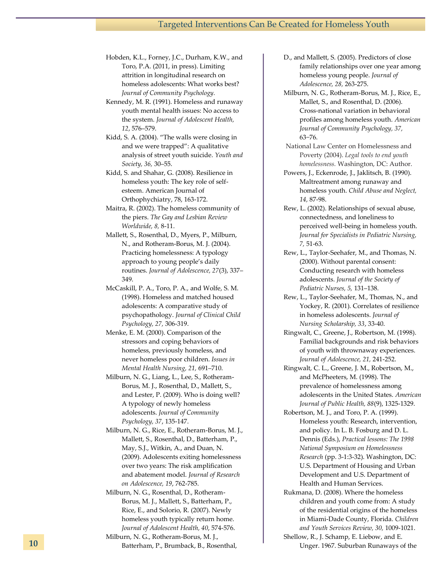Hobden, K.L., Forney, J.C., Durham, K.W., and Toro, P.A. (2011, in press). Limiting attrition in longitudinal research on homeless adolescents: What works best? *Journal of Community Psychology.*

Kennedy, M. R. (1991). Homeless and runaway youth mental health issues: No access to the system. *Journal of Adolescent Health, 12*, 576–579.

Kidd, S. A. (2004). "The walls were closing in and we were trapped": A qualitative analysis of street youth suicide. *Youth and Society, 36,* 30–55.

Kidd, S. and Shahar, G. (2008). Resilience in homeless youth: The key role of selfesteem. American Journal of Orthophychiatry, 78, 163-172.

Maitra, R. (2002). The homeless community of the piers. *The Gay and Lesbian Review Worldwide, 8,* 8-11.

Mallett, S., Rosenthal, D., Myers, P., Milburn, N., and Rotheram-Borus, M. J. (2004). Practicing homelessness: A typology approach to young people's daily routines. *Journal of Adolescence, 27*(3), 337– 349.

McCaskill, P. A., Toro, P. A., and Wolfe, S. M. (1998). Homeless and matched housed adolescents: A comparative study of psychopathology. *Journal of Clinical Child Psychology, 27,* 306-319.

Menke, E. M. (2000). Comparison of the stressors and coping behaviors of homeless, previously homeless, and never homeless poor children. *Issues in Mental Health Nursing, 21,* 691–710.

Milburn, N. G., Liang, L., Lee, S., Rotheram-Borus, M. J., Rosenthal, D., Mallett, S., and Lester, P. (2009). Who is doing well? A typology of newly homeless adolescents. *Journal of Community Psychology, 37*, 135-147.

Milburn, N. G., Rice, E., Rotheram-Borus, M. J., Mallett, S., Rosenthal, D., Batterham, P., May, S.J., Witkin, A., and Duan, N. (2009). Adolescents exiting homelessness over two years: The risk amplification and abatement model. *Journal of Research on Adolescence, 19*, 762-785.

Milburn, N. G., Rosenthal, D., Rotheram-Borus, M. J., Mallett, S., Batterham, P., Rice, E., and Solorio, R. (2007). Newly homeless youth typically return home. *Journal of Adolescent Health, 40*, 574-576.

Milburn, N. G., Rotheram-Borus, M. J., Batterham, P., Brumback, B., Rosenthal, D., and Mallett, S. (2005). Predictors of close family relationships over one year among homeless young people. *Journal of Adolescence, 28,* 263-275.

Milburn, N. G., Rotheram-Borus, M. J., Rice, E., Mallet, S., and Rosenthal, D. (2006). Cross-national variation in behavioral profiles among homeless youth. *American Journal of Community Psychology, 37,*  63−76.

National Law Center on Homelessness and Poverty (2004). *Legal tools to end youth homelessness.* Washington, DC: Author.

Powers, J., Eckenrode, J., Jaklitsch, B. (1990). Maltreatment among runaway and homeless youth. *Child Abuse and Neglect, 14,* 87-98.

Rew, L. (2002). Relationships of sexual abuse, connectedness, and loneliness to perceived well-being in homeless youth. *Journal for Specialists in Pediatric Nursing, 7,* 51-63.

Rew, L., Taylor-Seehafer, M., and Thomas, N. (2000). Without parental consent: Conducting research with homeless adolescents. *Journal of the Society of Pediatric Nurses, 5,* 131–138.

- Rew, L., Taylor-Seehafer, M., Thomas, N., and Yockey, R. (2001). Correlates of resilience in homeless adolescents. *Journal of Nursing Scholarship, 33*, 33-40.
- Ringwalt, C., Greene, J., Robertson, M. (1998). Familial backgrounds and risk behaviors of youth with thrownaway experiences. *Journal of Adolescence, 21,* 241-252.
- Ringwalt, C. L., Greene, J. M., Robertson, M., and McPheeters, M. (1998). The prevalence of homelessness among adolescents in the United States. *American Journal of Public Health, 88*(9), 1325-1329.

Robertson, M. J., and Toro, P. A. (1999). Homeless youth: Research, intervention, and policy. In L. B. Fosburg and D. L. Dennis (Eds.), *Practical lessons: The 1998 National Symposium on Homelessness Research* (pp. 3-1:3-32). Washington, DC: U.S. Department of Housing and Urban Development and U.S. Department of Health and Human Services.

Rukmana, D. (2008). Where the homeless children and youth come from: A study of the residential origins of the homeless in Miami-Dade County, Florida. *Children and Youth Services Review, 30,* 1009-1021.

Shellow, R., J. Schamp, E. Liebow, and E. Unger. 1967. Suburban Runaways of the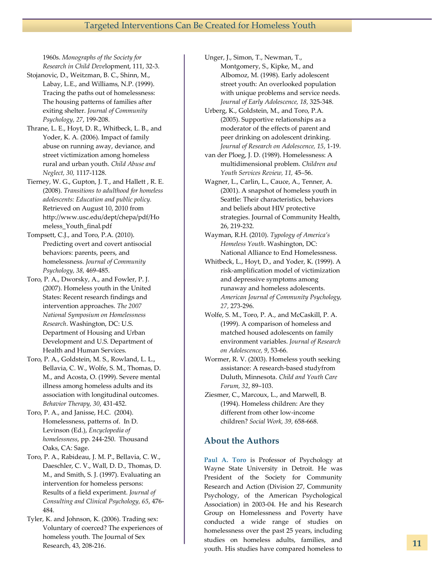1960s. *Monographs of the Society for Research in Child Deve*lopment, 111, 32-3.

- Stojanovic, D., Weitzman, B. C., Shinn, M., Labay, L.E., and Williams, N.P. (1999). Tracing the paths out of homelessness: The housing patterns of families after exiting shelter. *Journal of Community Psychology, 27*, 199-208.
- Thrane, L. E., Hoyt, D. R., Whitbeck, L. B., and Yoder, K. A. (2006). Impact of family abuse on running away, deviance, and street victimization among homeless rural and urban youth. *Child Abuse and Neglect, 30,* 1117-1128.
- Tierney, W. G., Gupton, J. T., and Hallett , R. E. (2008). *Transitions to adulthood for homeless adolescents: Education and public policy.* Retrieved on August 10, 2010 from http://www.usc.edu/dept/chepa/pdf/Ho meless\_Youth\_final.pdf
- Tompsett, C.J., and Toro, P.A. (2010). Predicting overt and covert antisocial behaviors: parents, peers, and homelessness. *Journal of Community Psychology, 38,* 469-485.
- Toro, P. A., Dworsky, A., and Fowler, P. J. (2007). Homeless youth in the United States: Recent research findings and intervention approaches. *The 2007 National Symposium on Homelessness Research*. Washington, DC: U.S. Department of Housing and Urban Development and U.S. Department of Health and Human Services.
- Toro, P. A., Goldstein, M. S., Rowland, L. L., Bellavia, C. W., Wolfe, S. M., Thomas, D. M., and Acosta, O. (1999). Severe mental illness among homeless adults and its association with longitudinal outcomes. *Behavior Therapy, 30*, 431-452.
- Toro, P. A., and Janisse, H.C. (2004). Homelessness, patterns of. In D. Levinson (Ed.), *Encyclopedia of homelessness*, pp. 244-250. Thousand Oaks, CA: Sage.
- Toro, P. A., Rabideau, J. M. P., Bellavia, C. W., Daeschler, C. V., Wall, D. D., Thomas, D. M., and Smith, S. J. (1997). Evaluating an intervention for homeless persons: Results of a field experiment. *Journal of Consulting and Clinical Psychology, 65*, 476- 484.
- Tyler, K. and Johnson, K. (2006). Trading sex: Voluntary of coerced? The experiences of homeless youth. The Journal of Sex Research, 43, 208-216.
- Unger, J., Simon, T., Newman, T., Montgomery, S., Kipke, M., and Albomoz, M. (1998). Early adolescent street youth: An overlooked population with unique problems and service needs. *Journal of Early Adolescence, 18,* 325-348.
- Urberg, K., Goldstein, M., and Toro, P.A. (2005). Supportive relationships as a moderator of the effects of parent and peer drinking on adolescent drinking. *Journal of Research on Adolescence, 15*, 1-19.
- van der Ploeg, J. D. (1989). Homelessness: A multidimensional problem. *Children and Youth Services Review, 11,* 45–56.
- Wagner, L., Carlin, L., Cauce, A., Tenner, A. (2001). A snapshot of homeless youth in Seattle: Their characteristics, behaviors and beliefs about HIV protective strategies. Journal of Community Health, 26, 219-232.
- Wayman, R.H. (2010). *Typology of America's Homeless Youth*. Washington, DC: National Alliance to End Homelessness.
- Whitbeck, L., Hoyt, D., and Yoder, K. (1999). A risk-amplification model of victimization and depressive symptoms among runaway and homeless adolescents. *American Journal of Community Psychology, 27,* 273-296.
- Wolfe, S. M., Toro, P. A., and McCaskill, P. A. (1999). A comparison of homeless and matched housed adolescents on family environment variables. *Journal of Research on Adolescence, 9*, 53-66.
- Wormer, R. V. (2003). Homeless youth seeking assistance: A research-based studyfrom Duluth, Minnesota. *Child and Youth Care Forum, 32*, 89–103.
- Ziesmer, C., Marcoux, L., and Marwell, B. (1994). Homeless children: Are they different from other low-income children? *Social Work, 39,* 658-668.

#### **About the Authors**

**Paul A. Toro** is Professor of Psychology at Wayne State University in Detroit. He was President of the Society for Community Research and Action (Division 27, Community Psychology, of the American Psychological Association) in 2003-04. He and his Research Group on Homelessness and Poverty have conducted a wide range of studies on homelessness over the past 25 years, including studies on homeless adults, families, and youth. His studies have compared homeless to